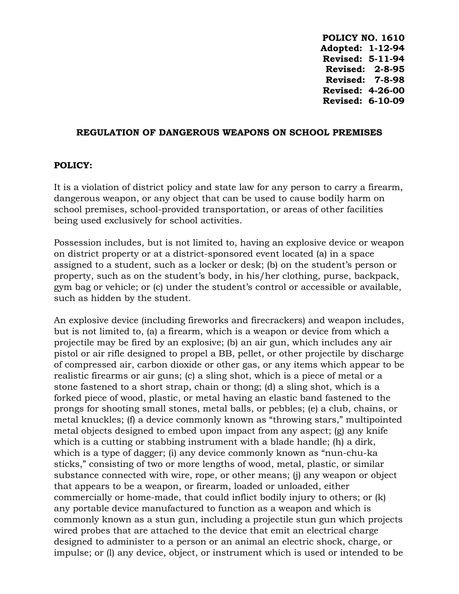**POLICY NO. 1610 Adopted: 1-12-94 Revised: 5-11-94 Revised: 2-8-95 Revised: 7-8-98 Revised: 4-26-00 Revised: 6-10-09**

## **REGULATION OF DANGEROUS WEAPONS ON SCHOOL PREMISES**

## **POLICY:**

It is a violation of district policy and state law for any person to carry a firearm, dangerous weapon, or any object that can be used to cause bodily harm on school premises, school-provided transportation, or areas of other facilities being used exclusively for school activities.

Possession includes, but is not limited to, having an explosive device or weapon on district property or at a district-sponsored event located (a) in a space assigned to a student, such as a locker or desk; (b) on the student's person or property, such as on the student's body, in his/her clothing, purse, backpack, gym bag or vehicle; or (c) under the student's control or accessible or available, such as hidden by the student.

An explosive device (including fireworks and firecrackers) and weapon includes, but is not limited to, (a) a firearm, which is a weapon or device from which a projectile may be fired by an explosive; (b) an air gun, which includes any air pistol or air rifle designed to propel a BB, pellet, or other projectile by discharge of compressed air, carbon dioxide or other gas, or any items which appear to be realistic firearms or air guns; (c) a sling shot, which is a piece of metal or a stone fastened to a short strap, chain or thong; (d) a sling shot, which is a forked piece of wood, plastic, or metal having an elastic band fastened to the prongs for shooting small stones, metal balls, or pebbles; (e) a club, chains, or metal knuckles; (f) a device commonly known as "throwing stars," multipointed metal objects designed to embed upon impact from any aspect; (g) any knife which is a cutting or stabbing instrument with a blade handle; (h) a dirk, which is a type of dagger; (i) any device commonly known as "nun-chu-ka sticks," consisting of two or more lengths of wood, metal, plastic, or similar substance connected with wire, rope, or other means; (j) any weapon or object that appears to be a weapon, or firearm, loaded or unloaded, either commercially or home-made, that could inflict bodily injury to others; or (k) any portable device manufactured to function as a weapon and which is commonly known as a stun gun, including a projectile stun gun which projects wired probes that are attached to the device that emit an electrical charge designed to administer to a person or an animal an electric shock, charge, or impulse; or (l) any device, object, or instrument which is used or intended to be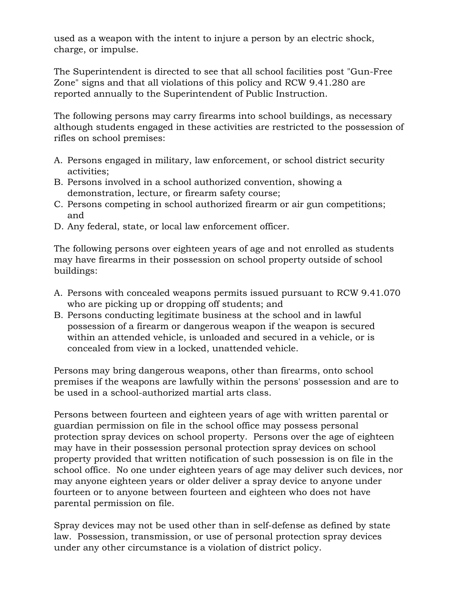used as a weapon with the intent to injure a person by an electric shock, charge, or impulse.

The Superintendent is directed to see that all school facilities post "Gun-Free Zone" signs and that all violations of this policy and RCW 9.41.280 are reported annually to the Superintendent of Public Instruction.

The following persons may carry firearms into school buildings, as necessary although students engaged in these activities are restricted to the possession of rifles on school premises:

- A. Persons engaged in military, law enforcement, or school district security activities;
- B. Persons involved in a school authorized convention, showing a demonstration, lecture, or firearm safety course;
- C. Persons competing in school authorized firearm or air gun competitions; and
- D. Any federal, state, or local law enforcement officer.

The following persons over eighteen years of age and not enrolled as students may have firearms in their possession on school property outside of school buildings:

- A. Persons with concealed weapons permits issued pursuant to RCW 9.41.070 who are picking up or dropping off students; and
- B. Persons conducting legitimate business at the school and in lawful possession of a firearm or dangerous weapon if the weapon is secured within an attended vehicle, is unloaded and secured in a vehicle, or is concealed from view in a locked, unattended vehicle.

Persons may bring dangerous weapons, other than firearms, onto school premises if the weapons are lawfully within the persons' possession and are to be used in a school-authorized martial arts class.

Persons between fourteen and eighteen years of age with written parental or guardian permission on file in the school office may possess personal protection spray devices on school property. Persons over the age of eighteen may have in their possession personal protection spray devices on school property provided that written notification of such possession is on file in the school office. No one under eighteen years of age may deliver such devices, nor may anyone eighteen years or older deliver a spray device to anyone under fourteen or to anyone between fourteen and eighteen who does not have parental permission on file.

Spray devices may not be used other than in self-defense as defined by state law. Possession, transmission, or use of personal protection spray devices under any other circumstance is a violation of district policy.